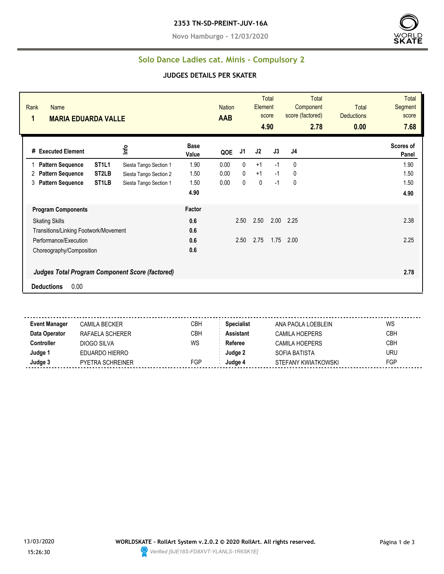**Novo Hamburgo - 12/03/2020**



#### **Solo Dance Ladies cat. Minis - Compulsory 2**

#### **JUDGES DETAILS PER SKATER**

| Rank<br><b>Name</b><br>1<br><b>MARIA EDUARDA VALLE</b> |                                                          |                      |      | <b>Nation</b> | Element | <b>Total</b><br>score<br>4.90 | <b>Total</b><br>Component<br>score (factored)<br>2.78 | <b>Total</b><br><b>Deductions</b><br>0.00 | <b>Total</b><br>Segment<br>score<br>7.68 |
|--------------------------------------------------------|----------------------------------------------------------|----------------------|------|---------------|---------|-------------------------------|-------------------------------------------------------|-------------------------------------------|------------------------------------------|
| # Executed Element                                     | Info                                                     | <b>Base</b><br>Value | QOE  | J1            | J2      | J3                            | J4                                                    |                                           | Scores of<br>Panel                       |
| <b>Pattern Sequence</b>                                | ST <sub>1</sub> L <sub>1</sub><br>Siesta Tango Section 1 | 1.90                 | 0.00 | $\mathbf{0}$  | $+1$    | $-1$                          | 0                                                     |                                           | 1.90                                     |
| <b>Pattern Sequence</b><br>2                           | ST <sub>2</sub> LB<br>Siesta Tango Section 2             | 1.50                 | 0.00 | 0             | $+1$    | $-1$                          | 0                                                     |                                           | 1.50                                     |
| <b>Pattern Sequence</b><br>3                           | ST <sub>1</sub> LB<br>Siesta Tango Section 1             | 1.50                 | 0.00 | 0             | 0       | $-1$                          | 0                                                     |                                           | 1.50                                     |
|                                                        |                                                          | 4.90                 |      |               |         |                               |                                                       |                                           | 4.90                                     |
| <b>Program Components</b>                              |                                                          | Factor               |      |               |         |                               |                                                       |                                           |                                          |
| <b>Skating Skills</b>                                  |                                                          | 0.6                  |      | 2.50          | 2.50    | 2.00                          | 2.25                                                  |                                           | 2.38                                     |
| Transitions/Linking Footwork/Movement                  |                                                          | 0.6                  |      |               |         |                               |                                                       |                                           |                                          |
| Performance/Execution                                  |                                                          | 0.6                  |      | 2.50          | 2.75    | 1.75                          | 2.00                                                  |                                           | 2.25                                     |
| Choreography/Composition                               |                                                          | 0.6                  |      |               |         |                               |                                                       |                                           |                                          |
|                                                        | <b>Judges Total Program Component Score (factored)</b>   |                      |      |               |         |                               |                                                       |                                           | 2.78                                     |
| 0.00<br><b>Deductions</b>                              |                                                          |                      |      |               |         |                               |                                                       |                                           |                                          |

**Event Manager** CAMILA BECKER CBH **Specialist** ANA PAOLA LOEBLEIN WS **Data Operator** RAFAELA SCHERER CBH **Assistant** CAMILA HOEPERS CBH **Controller** DIOGO SILVA WS Referee CAMILA HOEPERS CBH **Judge 1** EDUARDO HIERRO **Judge 2** SOFIA BATISTA URU **Judge 3** PYETRA SCHREINER FGP **Judge 4** STEFANY KWIATKOWSKI FGP

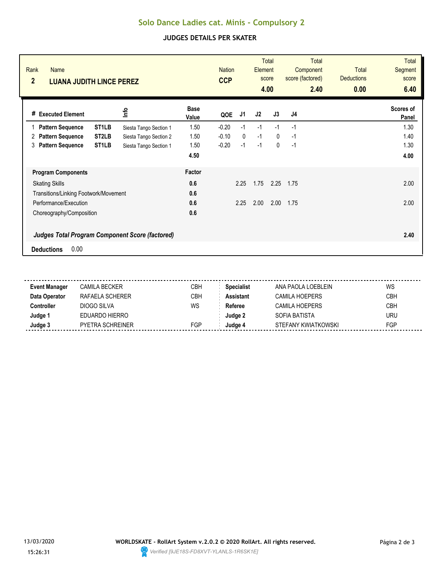# **Solo Dance Ladies cat. Minis - Compulsory 2**

## **JUDGES DETAILS PER SKATER**

| Rank<br><b>Name</b><br>$\overline{2}$<br><b>LUANA JUDITH LINCE PEREZ</b> |                    |                        |                      | <b>Nation</b><br><b>CCP</b> |              | Element | <b>Total</b><br>score<br>4.00 | Total<br>Component<br>score (factored)<br>2.40 | <b>Total</b><br><b>Deductions</b><br>0.00 | Total<br>Segment<br>score<br>6.40 |
|--------------------------------------------------------------------------|--------------------|------------------------|----------------------|-----------------------------|--------------|---------|-------------------------------|------------------------------------------------|-------------------------------------------|-----------------------------------|
| <b>Executed Element</b><br>#                                             |                    | <u>nfo</u>             | <b>Base</b><br>Value | QOE                         | J1           | J2      | J3                            | J <sub>4</sub>                                 |                                           | Scores of<br>Panel                |
| <b>Pattern Sequence</b>                                                  | ST <sub>1</sub> LB | Siesta Tango Section 1 | 1.50                 | $-0.20$                     | $-1$         | $-1$    | $-1$                          | $-1$                                           |                                           | 1.30                              |
| <b>Pattern Sequence</b><br>2                                             | ST <sub>2</sub> LB | Siesta Tango Section 2 | 1.50                 | $-0.10$                     | $\mathbf{0}$ | $-1$    | $\mathbf{0}$                  | $-1$                                           |                                           | 1.40                              |
| <b>Pattern Sequence</b><br>3                                             | ST <sub>1</sub> LB | Siesta Tango Section 1 | 1.50                 | $-0.20$                     | $-1$         | $-1$    | $\mathbf 0$                   | $-1$                                           |                                           | 1.30                              |
|                                                                          |                    |                        | 4.50                 |                             |              |         |                               |                                                |                                           | 4.00                              |
| <b>Program Components</b>                                                |                    |                        | <b>Factor</b>        |                             |              |         |                               |                                                |                                           |                                   |
| <b>Skating Skills</b>                                                    |                    |                        | 0.6                  |                             | 2.25         | 1.75    | 2.25                          | 1.75                                           |                                           | 2.00                              |
| Transitions/Linking Footwork/Movement                                    |                    |                        | 0.6                  |                             |              |         |                               |                                                |                                           |                                   |
| Performance/Execution                                                    |                    |                        | 0.6                  |                             | 2.25         | 2.00    | 2.00                          | 1.75                                           |                                           | 2.00                              |
| Choreography/Composition                                                 |                    |                        | 0.6                  |                             |              |         |                               |                                                |                                           |                                   |
| <b>Judges Total Program Component Score (factored)</b>                   |                    |                        |                      |                             |              |         |                               |                                                |                                           | 2.40                              |
| 0.00<br><b>Deductions</b>                                                |                    |                        |                      |                             |              |         |                               |                                                |                                           |                                   |

| <b>Event Manager</b> | CAMILA BECKER    | СВН        | <b>Specialist</b> | ANA PAOLA LOFBLEIN    | WS         |
|----------------------|------------------|------------|-------------------|-----------------------|------------|
| Data Operator        | RAFAELA SCHERER  | <b>CBH</b> | Assistant         | <b>CAMILA HOEPERS</b> | <b>CBH</b> |
| :cntroller           | DIOGO SILVA      | WS         | Referee           | CAMILA HOEPERS        | <b>CBH</b> |
| Judge '              | EDUARDO HIERRO   |            | Judae 2           | SOFIA BATISTA         | <b>URU</b> |
| Judge 3              | PYETRA SCHREINER | <b>FGP</b> | Judae 4           | STEFANY KWIATKOWSKI   | FGP        |
|                      |                  |            |                   |                       |            |